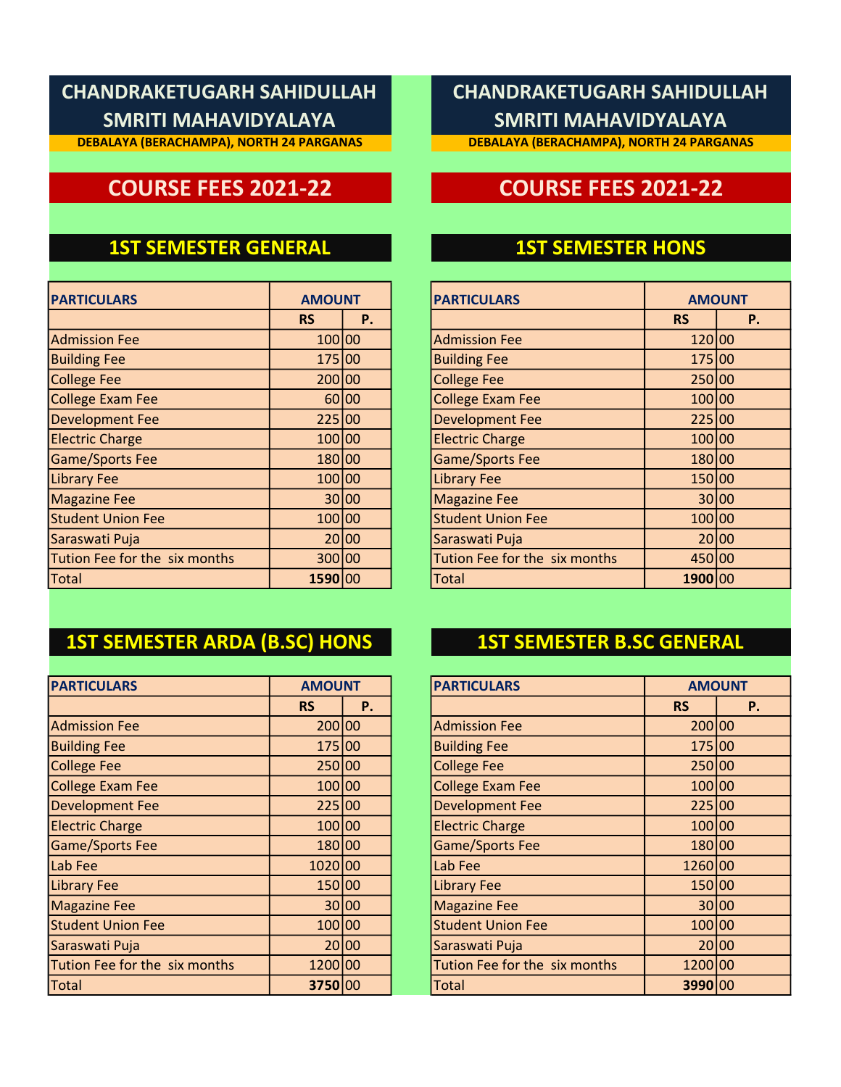**DEBALAYA (BERACHAMPA), NORTH 24 PARGANAS**

### **1ST SEMESTER GENERAL**

| <b>PARTICULARS</b>            | <b>AMOUNT</b> |           | <b>PARTICULARS</b>            | <b>AMOUN</b> |       |
|-------------------------------|---------------|-----------|-------------------------------|--------------|-------|
|                               | <b>RS</b>     | <b>P.</b> |                               | <b>RS</b>    |       |
| <b>Admission Fee</b>          | 100 00        |           | <b>Admission Fee</b>          | 120 00       |       |
| <b>Building Fee</b>           | 175 00        |           | <b>Building Fee</b>           | 175 00       |       |
| <b>College Fee</b>            | 200 00        |           | <b>College Fee</b>            | 250 00       |       |
| College Exam Fee              |               | 60 00     | <b>College Exam Fee</b>       | 100 00       |       |
| Development Fee               | 225 00        |           | <b>Development Fee</b>        | 225 00       |       |
| <b>Electric Charge</b>        | 100 00        |           | <b>Electric Charge</b>        | 100 00       |       |
| <b>Game/Sports Fee</b>        | 180 00        |           | <b>Game/Sports Fee</b>        | 180 00       |       |
| <b>Library Fee</b>            | 100 00        |           | <b>Library Fee</b>            | 150 00       |       |
| <b>Magazine Fee</b>           |               | 30 00     | <b>Magazine Fee</b>           |              | 30 00 |
| <b>Student Union Fee</b>      | 100 00        |           | <b>Student Union Fee</b>      | 100 00       |       |
| Saraswati Puja                |               | 20 00     | Saraswati Puja                |              | 20 00 |
| Tution Fee for the six months | 300 00        |           | Tution Fee for the six months | 450 00       |       |
| Total                         | 1590 00       |           | Total                         | 1900 00      |       |

## **1ST SEMESTER ARDA (B.SC) HONS 1ST SEMESTER B.SC GENERAL**

| <b>PARTICULARS</b>            | <b>AMOUNT</b> |       |  | <b>PARTICULARS</b>            | <b>AMOUN</b> |       |
|-------------------------------|---------------|-------|--|-------------------------------|--------------|-------|
|                               | <b>RS</b>     | Ρ.    |  |                               | <b>RS</b>    |       |
| <b>Admission Fee</b>          | 200 00        |       |  | <b>Admission Fee</b>          | 200 00       |       |
| <b>Building Fee</b>           | 175 00        |       |  | <b>Building Fee</b>           | 175 00       |       |
| College Fee                   | 250 00        |       |  | <b>College Fee</b>            | 250 00       |       |
| College Exam Fee              | 100 00        |       |  | <b>College Exam Fee</b>       | 100 00       |       |
| <b>Development Fee</b>        | 225 00        |       |  | <b>Development Fee</b>        | 225 00       |       |
| <b>Electric Charge</b>        | 100 00        |       |  | <b>Electric Charge</b>        | 100 00       |       |
| Game/Sports Fee               | 180 00        |       |  | <b>Game/Sports Fee</b>        | 180 00       |       |
| Lab Fee                       | 1020 00       |       |  | Lab Fee                       | 1260 00      |       |
| <b>Library Fee</b>            | 150 00        |       |  | <b>Library Fee</b>            | 150 00       |       |
| <b>Magazine Fee</b>           |               | 30 00 |  | <b>Magazine Fee</b>           |              | 30 00 |
| <b>Student Union Fee</b>      | 100 00        |       |  | <b>Student Union Fee</b>      | 100 00       |       |
| Saraswati Puja                |               | 20 00 |  | Saraswati Puja                |              | 20 00 |
| Tution Fee for the six months | 1200 00       |       |  | Tution Fee for the six months | 1200 00      |       |
| Total                         | 3750 00       |       |  | <b>Total</b>                  | 3990 00      |       |

## **CHANDRAKETUGARH SAHIDULLAH SMRITI MAHAVIDYALAYA**

**DEBALAYA (BERACHAMPA), NORTH 24 PARGANAS**

# **COURSE FEES 2021-22 COURSE FEES 2021-22**

### **1ST SEMESTER HONS**

| <b>AMOUNT</b> |    | <b>PARTICULARS</b>            |           | <b>AMOUNT</b> |
|---------------|----|-------------------------------|-----------|---------------|
| <b>RS</b>     | Ρ. |                               | <b>RS</b> | Ρ.            |
| 100 00        |    | <b>Admission Fee</b>          | 120 00    |               |
| 175 00        |    | <b>Building Fee</b>           | 175 00    |               |
| 200 00        |    | <b>College Fee</b>            | 250 00    |               |
| 60 00         |    | <b>College Exam Fee</b>       | 100 00    |               |
| 225 00        |    | <b>Development Fee</b>        | 225 00    |               |
| 100 00        |    | <b>Electric Charge</b>        | 100 00    |               |
| 180 00        |    | <b>Game/Sports Fee</b>        | 180 00    |               |
| 100 00        |    | <b>Library Fee</b>            | 150 00    |               |
| 30 00         |    | <b>Magazine Fee</b>           | 30 00     |               |
| 100 00        |    | <b>Student Union Fee</b>      | 100 00    |               |
| 20 00         |    | Saraswati Puja                | 20 00     |               |
| 300 00        |    | Tution Fee for the six months | 450 00    |               |
| 1590 00       |    | Total                         | 1900 00   |               |

| <b>AMOUNT</b> |       | <b>PARTICULARS</b>            |           | <b>AMOUNT</b> |
|---------------|-------|-------------------------------|-----------|---------------|
| <b>RS</b>     | Ρ.    |                               | <b>RS</b> | <b>P.</b>     |
| 200 00        |       | <b>Admission Fee</b>          | 200 00    |               |
| 175 00        |       | <b>Building Fee</b>           | 175 00    |               |
| 250 00        |       | <b>College Fee</b>            | 250 00    |               |
| 100 00        |       | <b>College Exam Fee</b>       | 100 00    |               |
| 225 00        |       | <b>Development Fee</b>        | 225 00    |               |
| 100 00        |       | <b>Electric Charge</b>        | 100 00    |               |
| 180 00        |       | <b>Game/Sports Fee</b>        | 180 00    |               |
| 1020 00       |       | Lab Fee                       | 1260 00   |               |
| 150 00        |       | <b>Library Fee</b>            | 150 00    |               |
|               | 30 00 | <b>Magazine Fee</b>           |           | 30 00         |
| 100 00        |       | <b>Student Union Fee</b>      | 100 00    |               |
|               | 20 00 | Saraswati Puja                |           | 20 00         |
| 1200 00       |       | Tution Fee for the six months | 1200 00   |               |
| 3750 00       |       | <b>Total</b>                  | 3990 00   |               |
|               |       |                               |           |               |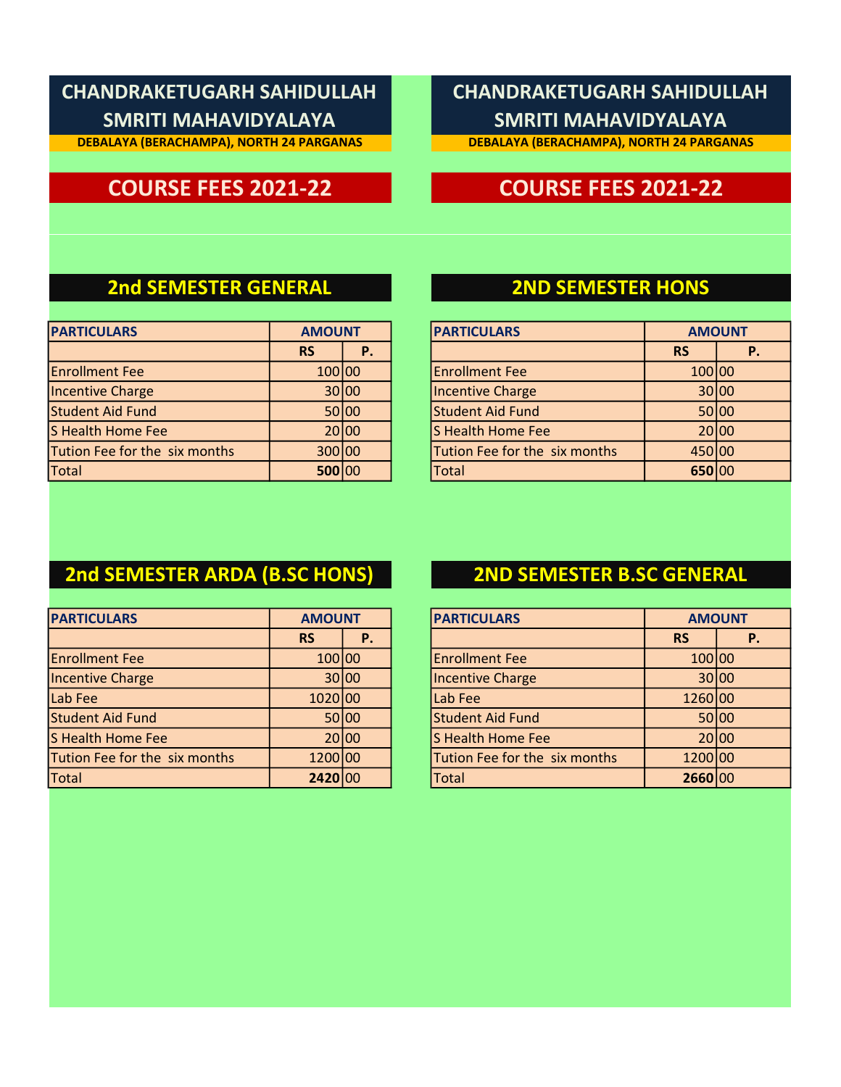**DEBALAYA (BERACHAMPA), NORTH 24 PARGANAS**

## **CHANDRAKETUGARH SAHIDULLAH SMRITI MAHAVIDYALAYA**

**DEBALAYA (BERACHAMPA), NORTH 24 PARGANAS**

## **COURSE FEES 2021-22 COURSE FEES 2021-22**

### **2nd SEMESTER GENERAL 2ND SEMESTER HONS**

| <b>PARTICULARS</b>            | <b>AMOUNT</b> |       | <b>PARTICULARS</b>            | <b>AMOUN</b> |       |
|-------------------------------|---------------|-------|-------------------------------|--------------|-------|
|                               | <b>RS</b>     | P.    |                               | <b>RS</b>    |       |
| <b>Enrollment Fee</b>         | 100 00        |       | <b>Enrollment Fee</b>         | 100 00       |       |
| Incentive Charge              |               | 30 00 | Incentive Charge              |              | 30 00 |
| Student Aid Fund              |               | 50 00 | Student Aid Fund              |              | 50 00 |
| S Health Home Fee             |               | 20 00 | S Health Home Fee             |              | 20 00 |
| Tution Fee for the six months | 300 00        |       | Tution Fee for the six months | 450 00       |       |
| <b>Total</b>                  | 500 00        |       | Total                         | 650 00       |       |

| <b>AMOUNT</b> |    | <b>PARTICULARS</b>            |           | <b>AMOUNT</b> |
|---------------|----|-------------------------------|-----------|---------------|
| <b>RS</b>     | P. |                               | <b>RS</b> | Р.            |
| 100 00        |    | <b>Enrollment Fee</b>         | 100 00    |               |
| 30 00         |    | <b>Incentive Charge</b>       | 30 00     |               |
| 50 00         |    | <b>Student Aid Fund</b>       |           | 50 00         |
| 20 00         |    | <b>S Health Home Fee</b>      | 20 00     |               |
| 300 00        |    | Tution Fee for the six months | 450 00    |               |
| 500 00        |    | <b>Total</b>                  | 650 00    |               |

## **2nd SEMESTER ARDA (B.SC HONS) 2ND SEMESTER B.SC GENERAL**

| <b>PARTICULARS</b><br><b>AMOUNT</b> |           | <b>PARTICULARS</b> | <b>AMOUN</b>                  |           |       |
|-------------------------------------|-----------|--------------------|-------------------------------|-----------|-------|
|                                     | <b>RS</b> | Р.                 |                               | <b>RS</b> |       |
| <b>Enrollment Fee</b>               | 100 00    |                    | <b>Enrollment Fee</b>         | 100 00    |       |
| Incentive Charge                    |           | 30 00              | Incentive Charge              |           | 30 00 |
| Lab Fee                             | 1020 00   |                    | Lab Fee                       | 1260 00   |       |
| Student Aid Fund                    |           | 50 00              | Student Aid Fund              |           | 50 00 |
| S Health Home Fee                   |           | 20 00              | S Health Home Fee             |           | 20 00 |
| Tution Fee for the six months       | 1200 00   |                    | Tution Fee for the six months | 1200 00   |       |
| Total                               | 2420 00   |                    | <b>Total</b>                  | 2660 00   |       |

| <b>PARTICULARS</b><br><b>AMOUNT</b><br><b>AMOUNT</b><br><b>RS</b><br><b>RS</b><br>Р.<br>Р.<br>100 00<br><b>Enrollment Fee</b><br>100 00<br>30 00<br><b>Incentive Charge</b><br>30 00<br>Lab Fee<br>1260 00<br>1020 00 |  |
|-----------------------------------------------------------------------------------------------------------------------------------------------------------------------------------------------------------------------|--|
|                                                                                                                                                                                                                       |  |
|                                                                                                                                                                                                                       |  |
|                                                                                                                                                                                                                       |  |
|                                                                                                                                                                                                                       |  |
|                                                                                                                                                                                                                       |  |
| <b>Student Aid Fund</b><br>50 00<br>50 00                                                                                                                                                                             |  |
| <b>S Health Home Fee</b><br>20 00<br>20 00                                                                                                                                                                            |  |
| Tution Fee for the six months<br>1200 00<br>1200 00                                                                                                                                                                   |  |
| <b>Total</b><br>2660 00<br>2420<br>00                                                                                                                                                                                 |  |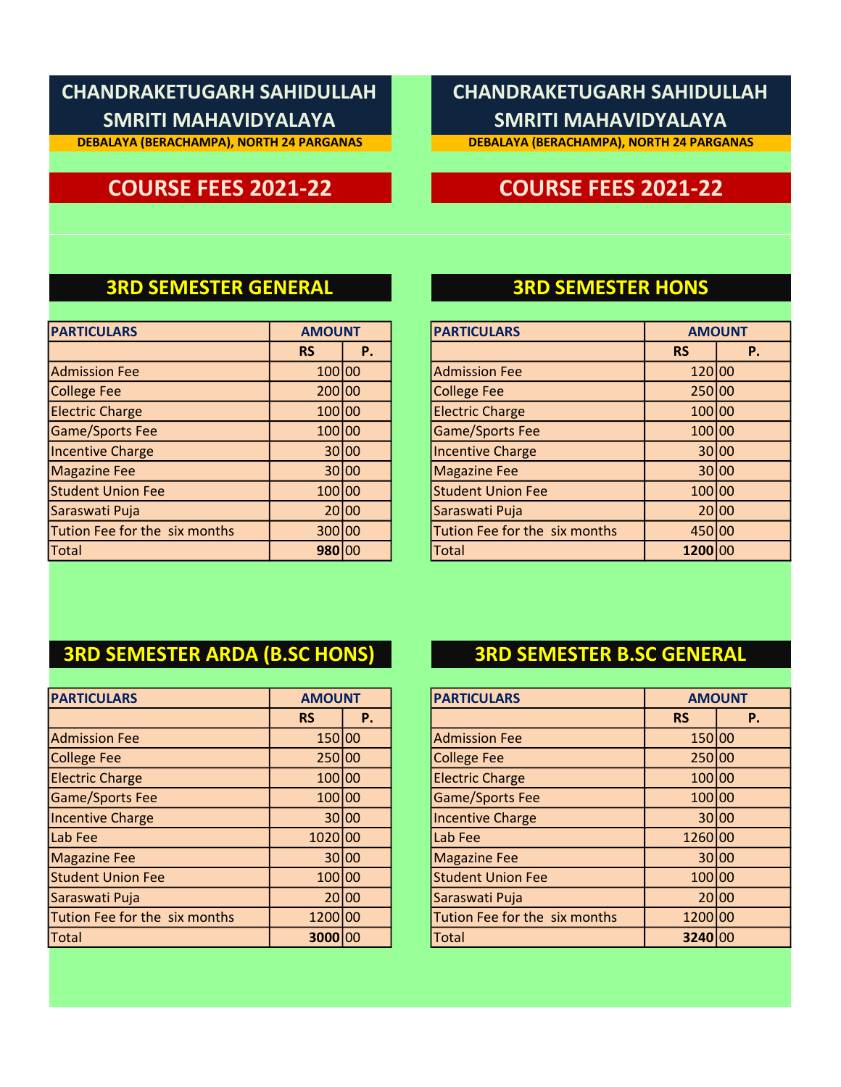**DEBALAYA (BERACHAMPA), NORTH 24 PARGANAS**

## **CHANDRAKETUGARH SAHIDULLAH SMRITI MAHAVIDYALAYA**

**DEBALAYA (BERACHAMPA), NORTH 24 PARGANAS**

## **COURSE FEES 2021-22 COURSE FEES 2021-22**

### **3RD SEMESTER GENERAL 3RD SEMESTER HONS**

| <b>PARTICULARS</b>            | <b>AMOUNT</b> |           | <b>PARTICULARS</b>            | <b>AMOUN</b> |       |
|-------------------------------|---------------|-----------|-------------------------------|--------------|-------|
|                               | <b>RS</b>     | <b>P.</b> |                               | <b>RS</b>    |       |
| <b>Admission Fee</b>          | 100 00        |           | <b>Admission Fee</b>          | 120 00       |       |
| <b>College Fee</b>            | 200 00        |           | <b>College Fee</b>            | 250 00       |       |
| <b>Electric Charge</b>        | 100 00        |           | <b>Electric Charge</b>        | 100 00       |       |
| Game/Sports Fee               | 100 00        |           | <b>Game/Sports Fee</b>        | 100 00       |       |
| Incentive Charge              |               | 30 00     | <b>Incentive Charge</b>       |              | 30 00 |
| <b>Magazine Fee</b>           |               | 30100     | <b>Magazine Fee</b>           |              | 30 00 |
| <b>Student Union Fee</b>      | 100 00        |           | <b>Student Union Fee</b>      | 100 00       |       |
| Saraswati Puja                |               | 20100     | Saraswati Puja                |              | 20 00 |
| Tution Fee for the six months | 300 00        |           | Tution Fee for the six months | 450 00       |       |
| Total                         | 980 00        |           | <b>Total</b>                  | 1200 00      |       |

| <b>AMOUNT</b> |    | <b>PARTICULARS</b>            |           | <b>AMOUNT</b> |
|---------------|----|-------------------------------|-----------|---------------|
| <b>RS</b>     | Ρ. |                               | <b>RS</b> | <b>P.</b>     |
| 100 00        |    | <b>Admission Fee</b>          | 120 00    |               |
| 200 00        |    | <b>College Fee</b>            | 250 00    |               |
| 100 00        |    | <b>Electric Charge</b>        | 100 00    |               |
| 100 00        |    | <b>Game/Sports Fee</b>        | 100 00    |               |
| 30 00         |    | <b>Incentive Charge</b>       | 30100     |               |
| 30 00         |    | <b>Magazine Fee</b>           | 30 00     |               |
| 100 00        |    | <b>Student Union Fee</b>      | 100 00    |               |
| 20 00         |    | Saraswati Puja                | 20100     |               |
| 300 00        |    | Tution Fee for the six months | 450 00    |               |
| 980 00        |    | <b>Total</b>                  | 1200 00   |               |

### **3RD SEMESTER ARDA (B.SC HONS) 3RD SEMESTER B.SC GENERAL**

| <b>PARTICULARS</b><br><b>AMOUNT</b> |           |       |  | <b>PARTICULARS</b>            | <b>AMOUN</b> |       |
|-------------------------------------|-----------|-------|--|-------------------------------|--------------|-------|
|                                     | <b>RS</b> | P.    |  |                               | <b>RS</b>    |       |
| <b>Admission Fee</b>                | 150 00    |       |  | <b>Admission Fee</b>          | 150 00       |       |
| <b>College Fee</b>                  | 250 00    |       |  | <b>College Fee</b>            | 250 00       |       |
| <b>Electric Charge</b>              | 100 00    |       |  | <b>Electric Charge</b>        | 100 00       |       |
| Game/Sports Fee                     | 100 00    |       |  | <b>Game/Sports Fee</b>        | 100 00       |       |
| Incentive Charge                    |           | 30 00 |  | <b>Incentive Charge</b>       |              | 30 00 |
| Lab Fee                             | 1020 00   |       |  | Lab Fee                       | 1260 00      |       |
| <b>Magazine Fee</b>                 |           | 30 00 |  | <b>Magazine Fee</b>           |              | 30 00 |
| <b>Student Union Fee</b>            | 100 00    |       |  | <b>Student Union Fee</b>      | 100 00       |       |
| Saraswati Puja                      |           | 20100 |  | Saraswati Puja                |              | 20 00 |
| Tution Fee for the six months       | 1200 00   |       |  | Tution Fee for the six months | 1200 00      |       |
| Total                               | 3000 00   |       |  | <b>Total</b>                  | 3240 00      |       |

| <b>AMOUNT</b> |    | <b>PARTICULARS</b>            |           | <b>AMOUNT</b> |
|---------------|----|-------------------------------|-----------|---------------|
| <b>RS</b>     | Ρ. |                               | <b>RS</b> | P.            |
| 150 00        |    | <b>Admission Fee</b>          | 150 00    |               |
| 250 00        |    | <b>College Fee</b>            | 250 00    |               |
| 100 00        |    | <b>Electric Charge</b>        | 100 00    |               |
| 100 00        |    | <b>Game/Sports Fee</b>        | 100 00    |               |
| 30 00         |    | <b>Incentive Charge</b>       |           | 30 00         |
| 1020 00       |    | Lab Fee                       | 1260 00   |               |
| 30 00         |    | <b>Magazine Fee</b>           |           | 30 00         |
| 100 00        |    | <b>Student Union Fee</b>      | 100 00    |               |
| 20 00         |    | Saraswati Puja                |           | 20100         |
| 1200 00       |    | Tution Fee for the six months | 1200 00   |               |
| 3000 00       |    | Total                         | 3240 00   |               |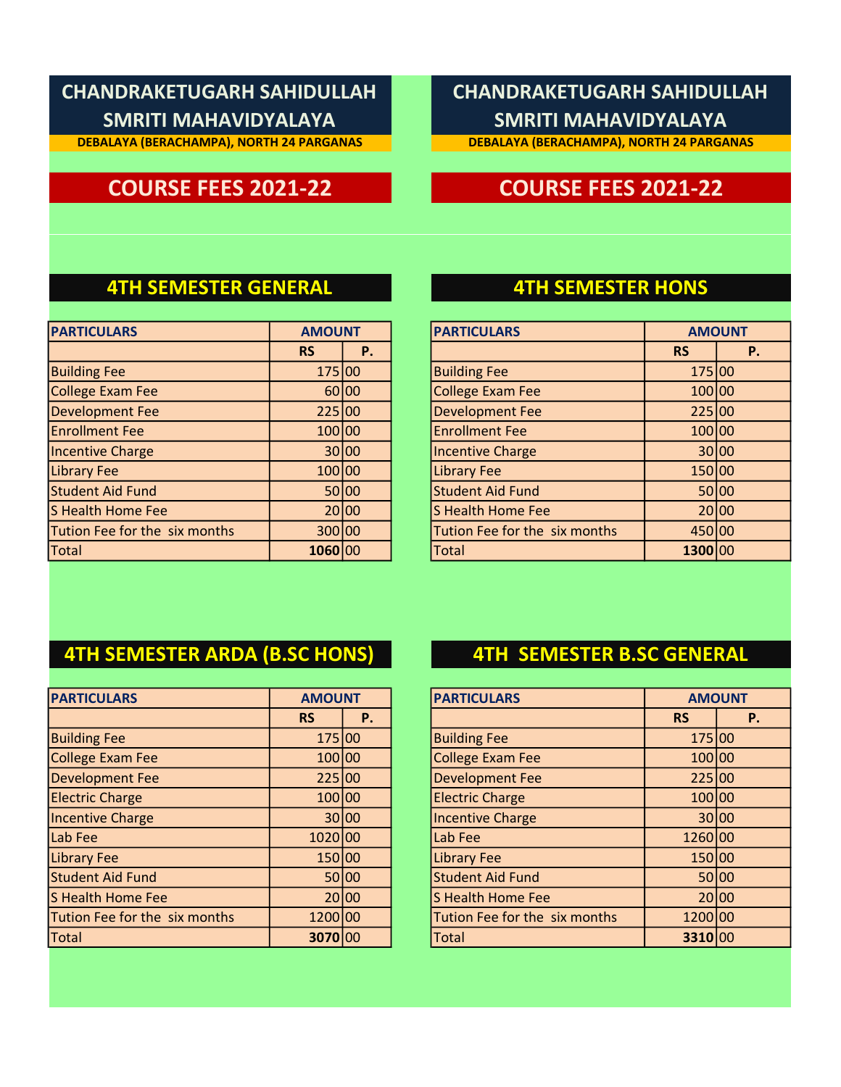**DEBALAYA (BERACHAMPA), NORTH 24 PARGANAS**

## **CHANDRAKETUGARH SAHIDULLAH SMRITI MAHAVIDYALAYA**

**DEBALAYA (BERACHAMPA), NORTH 24 PARGANAS**

## **COURSE FEES 2021-22 COURSE FEES 2021-22**

### **4TH SEMESTER GENERAL 4TH SEMESTER HONS**

| <b>PARTICULARS</b>            | <b>AMOUNT</b> |           | <b>PARTICULARS</b>            | <b>AMOUN</b> |       |
|-------------------------------|---------------|-----------|-------------------------------|--------------|-------|
|                               | <b>RS</b>     | <b>P.</b> |                               | <b>RS</b>    |       |
| <b>Building Fee</b>           | 175 00        |           | <b>Building Fee</b>           | 175 00       |       |
| College Exam Fee              |               | 60 00     | <b>College Exam Fee</b>       | 100 00       |       |
| <b>Development Fee</b>        | 225 00        |           | <b>Development Fee</b>        | 225 00       |       |
| <b>Enrollment Fee</b>         | 100 00        |           | <b>Enrollment Fee</b>         | 100 00       |       |
| Incentive Charge              |               | 30100     | <b>Incentive Charge</b>       |              | 30 00 |
| <b>Library Fee</b>            | 100 00        |           | <b>Library Fee</b>            | 150 00       |       |
| <b>Student Aid Fund</b>       |               | 50 00     | <b>Student Aid Fund</b>       |              | 50 00 |
| S Health Home Fee             |               | 20100     | S Health Home Fee             |              | 20 00 |
| Tution Fee for the six months | 300 00        |           | Tution Fee for the six months | 450 00       |       |
| Total                         | 1060 00       |           | <b>Total</b>                  | 1300 00      |       |

| <b>AMOUNT</b> |    | <b>PARTICULARS</b>            |           | <b>AMOUNT</b> |
|---------------|----|-------------------------------|-----------|---------------|
| <b>RS</b>     | Ρ. |                               | <b>RS</b> | <b>P.</b>     |
| 175 00        |    | <b>Building Fee</b>           | 175 00    |               |
| 60 00         |    | <b>College Exam Fee</b>       | 100 00    |               |
| 225 00        |    | <b>Development Fee</b>        | 225 00    |               |
| 100 00        |    | <b>Enrollment Fee</b>         | 100 00    |               |
| 30 00         |    | <b>Incentive Charge</b>       | 30 00     |               |
| 100 00        |    | <b>Library Fee</b>            | 150 00    |               |
| 50 00         |    | <b>Student Aid Fund</b>       | 50 00     |               |
| 20 00         |    | S Health Home Fee             | 20 00     |               |
| 300 00        |    | Tution Fee for the six months | 450 00    |               |
| 1060          | 00 | <b>Total</b>                  | 1300 00   |               |

## **4TH SEMESTER ARDA (B.SC HONS) 4TH SEMESTER B.SC GENERAL**

|           |           |                                                                                                                             | <b>PARTICULARS</b>            |           |                                                                                                 |
|-----------|-----------|-----------------------------------------------------------------------------------------------------------------------------|-------------------------------|-----------|-------------------------------------------------------------------------------------------------|
| <b>RS</b> | <b>P.</b> |                                                                                                                             |                               | <b>RS</b> |                                                                                                 |
|           |           |                                                                                                                             | <b>Building Fee</b>           |           |                                                                                                 |
|           |           |                                                                                                                             | <b>College Exam Fee</b>       |           |                                                                                                 |
|           |           |                                                                                                                             | <b>Development Fee</b>        |           |                                                                                                 |
|           |           |                                                                                                                             | <b>Electric Charge</b>        |           |                                                                                                 |
|           |           |                                                                                                                             | <b>Incentive Charge</b>       |           | 30 00                                                                                           |
|           |           |                                                                                                                             | Lab Fee                       |           |                                                                                                 |
|           |           |                                                                                                                             | <b>Library Fee</b>            |           |                                                                                                 |
|           |           |                                                                                                                             | <b>Student Aid Fund</b>       |           | 50 00                                                                                           |
|           |           |                                                                                                                             | S Health Home Fee             |           | 20 00                                                                                           |
|           |           |                                                                                                                             | Tution Fee for the six months |           |                                                                                                 |
|           |           |                                                                                                                             | <b>Total</b>                  |           |                                                                                                 |
|           |           | <b>AMOUNT</b><br>175 00<br>100 00<br>225 00<br>100 00<br>30 00<br>1020100<br>150 00<br>50100<br>20100<br>1200 00<br>3070 00 |                               |           | <b>AMOUN</b><br>175 00<br>100 00<br>225 00<br>100 00<br>1260 00<br>150 00<br>1200 00<br>3310 00 |

| <b>AMOUNT</b>     |  | <b>PARTICULARS</b>            |           | <b>AMOUNT</b> |
|-------------------|--|-------------------------------|-----------|---------------|
| Ρ.                |  |                               | <b>RS</b> | <b>P.</b>     |
| 175 00            |  | <b>Building Fee</b>           | 175 00    |               |
| 100 00            |  | <b>College Exam Fee</b>       | 100 00    |               |
| 225 00            |  | <b>Development Fee</b>        | 225 00    |               |
| 100 00            |  | <b>Electric Charge</b>        | 100 00    |               |
| 30 00             |  | <b>Incentive Charge</b>       |           | 30100         |
| 1020 00           |  | Lab Fee                       | 1260 00   |               |
| 150 00            |  | <b>Library Fee</b>            | 150 00    |               |
| 50 00             |  | <b>Student Aid Fund</b>       |           | 50 00         |
| 20 00             |  | <b>S Health Home Fee</b>      |           | 20 00         |
| 1200 00           |  | Tution Fee for the six months | 1200 00   |               |
| 3070<br><b>00</b> |  | <b>Total</b>                  | 3310 00   |               |
|                   |  |                               |           |               |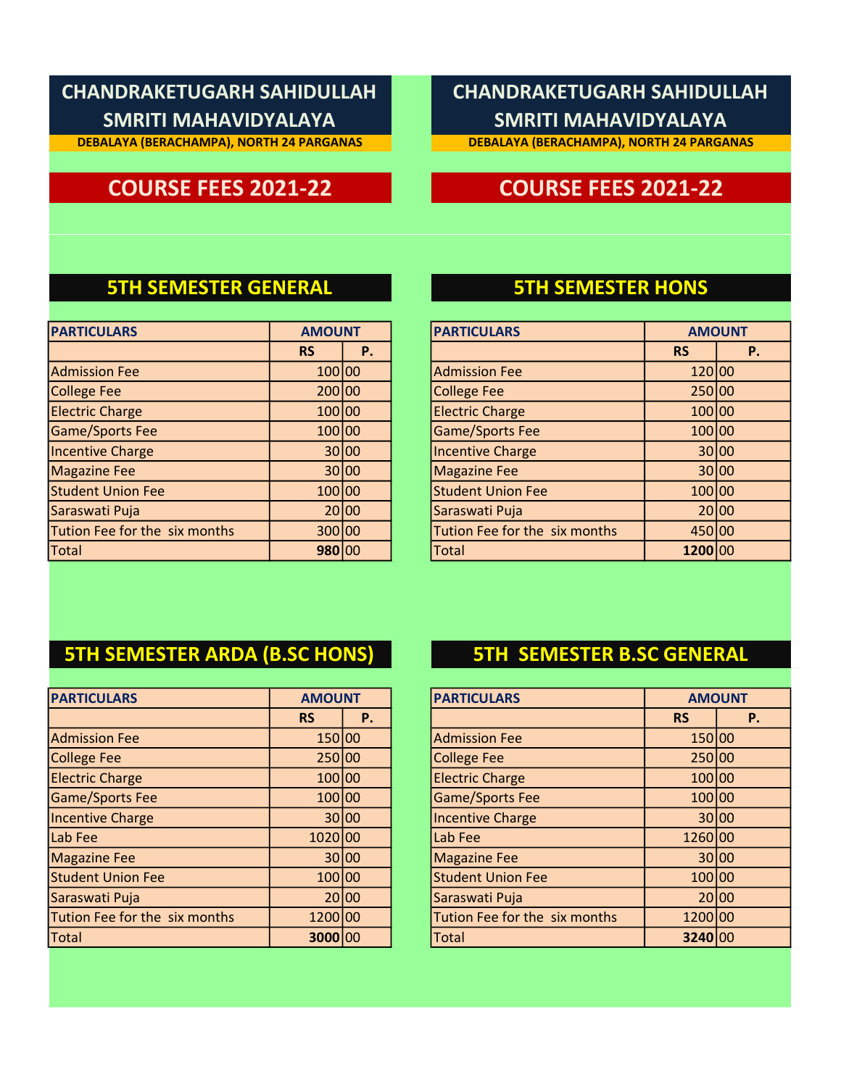**DEBALAYA (BERACHAMPA), NORTH 24 PARGANAS**

## **CHANDRAKETUGARH SAHIDULLAH SMRITI MAHAVIDYALAYA**

**DEBALAYA (BERACHAMPA), NORTH 24 PARGANAS**

## **COURSE FEES 2021-22 COURSE FEES 2021-22**

### **5TH SEMESTER GENERAL 5TH SEMESTER HONS**

| <b>PARTICULARS</b>            | <b>AMOUNT</b> |       | <b>PARTICULARS</b>            | <b>AMOUN</b> |       |
|-------------------------------|---------------|-------|-------------------------------|--------------|-------|
|                               | <b>RS</b>     | P.    |                               | <b>RS</b>    |       |
| <b>Admission Fee</b>          | 100 00        |       | <b>Admission Fee</b>          | 120 00       |       |
| <b>College Fee</b>            | 200 00        |       | <b>College Fee</b>            | 250 00       |       |
| <b>Electric Charge</b>        | 100 00        |       | <b>Electric Charge</b>        | 100 00       |       |
| Game/Sports Fee               | 100 00        |       | <b>Game/Sports Fee</b>        | 100 00       |       |
| Incentive Charge              |               | 30 00 | <b>Incentive Charge</b>       |              | 30 00 |
| <b>Magazine Fee</b>           |               | 30 00 | <b>Magazine Fee</b>           |              | 30 00 |
| <b>Student Union Fee</b>      | 100 00        |       | <b>Student Union Fee</b>      | 100 00       |       |
| Saraswati Puja                |               | 20 00 | Saraswati Puja                |              | 20 00 |
| Tution Fee for the six months | 300 00        |       | Tution Fee for the six months | 450 00       |       |
| Total                         | 980 00        |       | <b>Total</b>                  | 1200 00      |       |

| <b>AMOUNT</b> |       | <b>PARTICULARS</b>            |           | <b>AMOUNT</b> |
|---------------|-------|-------------------------------|-----------|---------------|
| <b>RS</b>     | Ρ.    |                               | <b>RS</b> | Ρ.            |
| 100 00        |       | <b>Admission Fee</b>          | 120 00    |               |
| 200 00        |       | <b>College Fee</b>            | 250 00    |               |
| 100 00        |       | <b>Electric Charge</b>        | 100 00    |               |
| 100 00        |       | <b>Game/Sports Fee</b>        | 100 00    |               |
| 30 00         |       | <b>Incentive Charge</b>       |           | 30 00         |
| 30 00         |       | <b>Magazine Fee</b>           |           | 30 00         |
| 100 00        |       | <b>Student Union Fee</b>      | 100100    |               |
|               | 20 00 | Saraswati Puja                | 20 00     |               |
| 300 00        |       | Tution Fee for the six months | 450 00    |               |
| 980 00        |       | <b>Total</b>                  | 1200      | 100           |

## **5TH SEMESTER ARDA (B.SC HONS) 5TH SEMESTER B.SC GENERAL**

| <b>PARTICULARS</b>            | <b>AMOUNT</b> |           | <b>PARTICULARS</b>            | <b>AMOUN</b> |       |
|-------------------------------|---------------|-----------|-------------------------------|--------------|-------|
|                               | <b>RS</b>     | <b>P.</b> |                               | <b>RS</b>    |       |
| <b>Admission Fee</b>          | 150 00        |           | <b>Admission Fee</b>          | 150 00       |       |
| <b>College Fee</b>            | 250 00        |           | <b>College Fee</b>            | 250 00       |       |
| <b>Electric Charge</b>        | 100 00        |           | <b>Electric Charge</b>        | 100 00       |       |
| Game/Sports Fee               | 100 00        |           | <b>Game/Sports Fee</b>        | 100 00       |       |
| Incentive Charge              |               | 30 00     | <b>Incentive Charge</b>       |              | 30 00 |
| Lab Fee                       | 1020 00       |           | Lab Fee                       | 1260 00      |       |
| <b>Magazine Fee</b>           |               | 30 00     | <b>Magazine Fee</b>           |              | 30 00 |
| <b>Student Union Fee</b>      | 100100        |           | <b>Student Union Fee</b>      | 100 00       |       |
| Saraswati Puja                |               | 20100     | Saraswati Puja                |              | 20 00 |
| Tution Fee for the six months | 1200 00       |           | Tution Fee for the six months | 1200 00      |       |
| Total                         | 3000 00       |           | <b>Total</b>                  | 3240 00      |       |

| <b>AMOUNT</b> |    | <b>PARTICULARS</b>            |           | <b>AMOUNT</b> |
|---------------|----|-------------------------------|-----------|---------------|
| <b>RS</b>     | Ρ. |                               | <b>RS</b> | P.            |
| 150 00        |    | <b>Admission Fee</b>          | 150 00    |               |
| 250 00        |    | <b>College Fee</b>            | 250 00    |               |
| 100 00        |    | <b>Electric Charge</b>        | 100 00    |               |
| 100 00        |    | <b>Game/Sports Fee</b>        | 100 00    |               |
| 30 00         |    | <b>Incentive Charge</b>       |           | 30 00         |
| 1020 00       |    | Lab Fee                       | 1260 00   |               |
| 30 00         |    | <b>Magazine Fee</b>           |           | 30 00         |
| 100 00        |    | <b>Student Union Fee</b>      | 100 00    |               |
| 20 00         |    | Saraswati Puja                |           | 20100         |
| 1200 00       |    | Tution Fee for the six months | 1200 00   |               |
| 3000 00       |    | Total                         | 3240 00   |               |